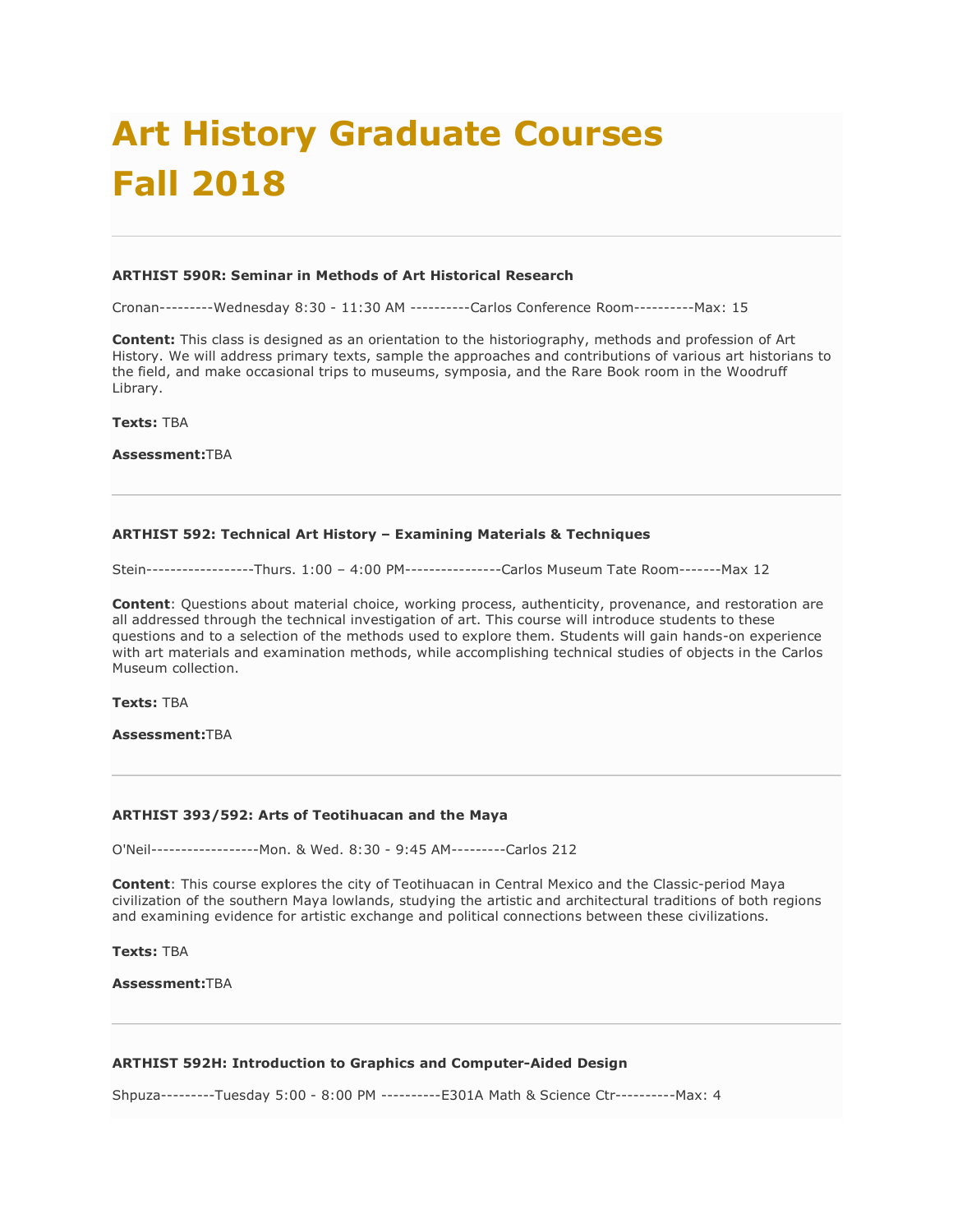# **Art History Graduate Courses Fall 2018**

#### **ARTHIST 590R: Seminar in Methods of Art Historical Research**

Cronan---------Wednesday 8:30 - 11:30 AM ----------Carlos Conference Room----------Max: 15

**Content:** This class is designed as an orientation to the historiography, methods and profession of Art History. We will address primary texts, sample the approaches and contributions of various art historians to the field, and make occasional trips to museums, symposia, and the Rare Book room in the Woodruff Library.

**Texts:** TBA

**Assessment:**TBA

# **ARTHIST 592: Technical Art History – Examining Materials & Techniques**

Stein------------------Thurs. 1:00 – 4:00 PM----------------Carlos Museum Tate Room-------Max 12

**Content**: Questions about material choice, working process, authenticity, provenance, and restoration are all addressed through the technical investigation of art. This course will introduce students to these questions and to a selection of the methods used to explore them. Students will gain hands-on experience with art materials and examination methods, while accomplishing technical studies of objects in the Carlos Museum collection.

**Texts:** TBA

**Assessment:**TBA

#### **ARTHIST 393/592: Arts of Teotihuacan and the Maya**

O'Neil------------------Mon. & Wed. 8:30 - 9:45 AM---------Carlos 212

**Content**: This course explores the city of Teotihuacan in Central Mexico and the Classic-period Maya civilization of the southern Maya lowlands, studying the artistic and architectural traditions of both regions and examining evidence for artistic exchange and political connections between these civilizations.

**Texts:** TBA

**Assessment:**TBA

# **ARTHIST 592H: Introduction to Graphics and Computer-Aided Design**

Shpuza---------Tuesday 5:00 - 8:00 PM ----------E301A Math & Science Ctr----------Max: 4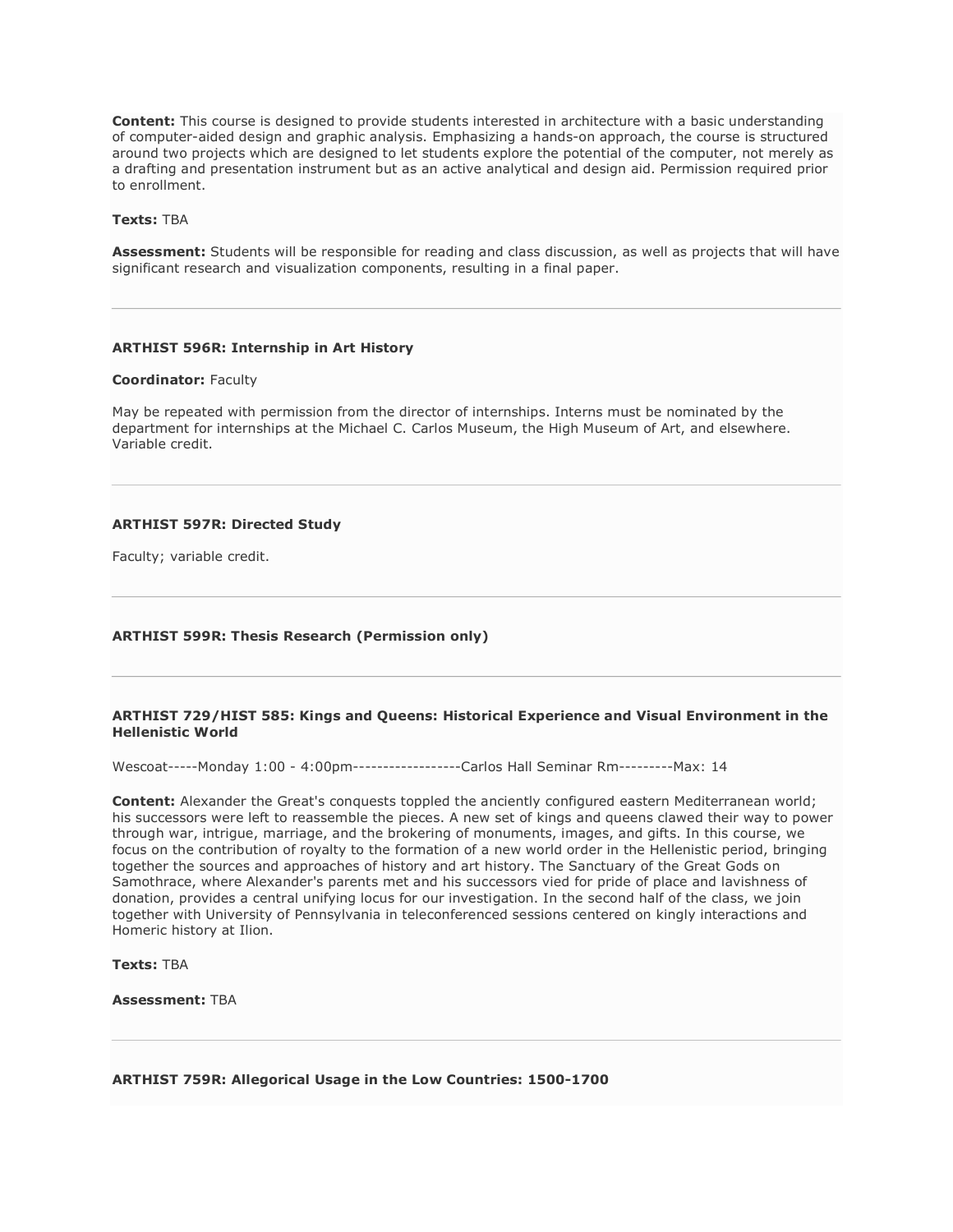**Content:** This course is designed to provide students interested in architecture with a basic understanding of computer-aided design and graphic analysis. Emphasizing a hands-on approach, the course is structured around two projects which are designed to let students explore the potential of the computer, not merely as a drafting and presentation instrument but as an active analytical and design aid. Permission required prior to enrollment.

## **Texts:** TBA

**Assessment:** Students will be responsible for reading and class discussion, as well as projects that will have significant research and visualization components, resulting in a final paper.

# **ARTHIST 596R: Internship in Art History**

#### **Coordinator:** Faculty

May be repeated with permission from the director of internships. Interns must be nominated by the department for internships at the Michael C. Carlos Museum, the High Museum of Art, and elsewhere. Variable credit.

# **ARTHIST 597R: Directed Study**

Faculty; variable credit.

## **ARTHIST 599R: Thesis Research (Permission only)**

#### **ARTHIST 729/HIST 585: Kings and Queens: Historical Experience and Visual Environment in the Hellenistic World**

Wescoat-----Monday 1:00 - 4:00pm------------------Carlos Hall Seminar Rm---------Max: 14

**Content:** Alexander the Great's conquests toppled the anciently configured eastern Mediterranean world; his successors were left to reassemble the pieces. A new set of kings and queens clawed their way to power through war, intrigue, marriage, and the brokering of monuments, images, and gifts. In this course, we focus on the contribution of royalty to the formation of a new world order in the Hellenistic period, bringing together the sources and approaches of history and art history. The Sanctuary of the Great Gods on Samothrace, where Alexander's parents met and his successors vied for pride of place and lavishness of donation, provides a central unifying locus for our investigation. In the second half of the class, we join together with University of Pennsylvania in teleconferenced sessions centered on kingly interactions and Homeric history at Ilion.

**Texts:** TBA

**Assessment:** TBA

## **ARTHIST 759R: Allegorical Usage in the Low Countries: 1500-1700**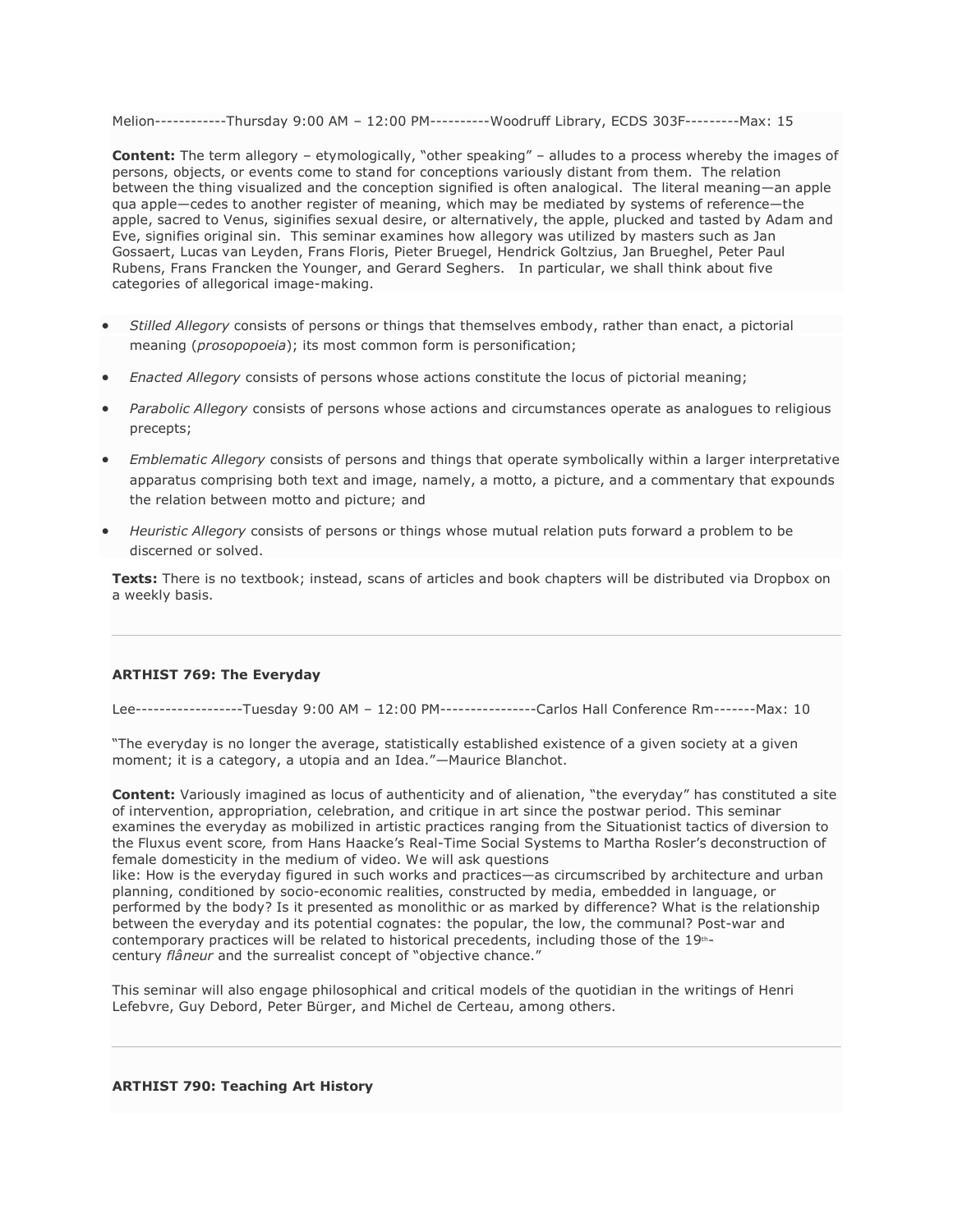Melion------------Thursday 9:00 AM – 12:00 PM----------Woodruff Library, ECDS 303F---------Max: 15

**Content:** The term allegory – etymologically, "other speaking" – alludes to a process whereby the images of persons, objects, or events come to stand for conceptions variously distant from them. The relation between the thing visualized and the conception signified is often analogical. The literal meaning—an apple qua apple—cedes to another register of meaning, which may be mediated by systems of reference—the apple, sacred to Venus, siginifies sexual desire, or alternatively, the apple, plucked and tasted by Adam and Eve, signifies original sin. This seminar examines how allegory was utilized by masters such as Jan Gossaert, Lucas van Leyden, Frans Floris, Pieter Bruegel, Hendrick Goltzius, Jan Brueghel, Peter Paul Rubens, Frans Francken the Younger, and Gerard Seghers. In particular, we shall think about five categories of allegorical image-making.

- *Stilled Allegory* consists of persons or things that themselves embody, rather than enact, a pictorial meaning (*prosopopoeia*); its most common form is personification;
- *Enacted Allegory* consists of persons whose actions constitute the locus of pictorial meaning;
- *Parabolic Allegory* consists of persons whose actions and circumstances operate as analogues to religious precepts;
- *Emblematic Allegory* consists of persons and things that operate symbolically within a larger interpretative apparatus comprising both text and image, namely, a motto, a picture, and a commentary that expounds the relation between motto and picture; and
- *Heuristic Allegory* consists of persons or things whose mutual relation puts forward a problem to be discerned or solved.

**Texts:** There is no textbook; instead, scans of articles and book chapters will be distributed via Dropbox on a weekly basis.

# **ARTHIST 769: The Everyday**

Lee------------------Tuesday 9:00 AM – 12:00 PM----------------Carlos Hall Conference Rm-------Max: 10

"The everyday is no longer the average, statistically established existence of a given society at a given moment; it is a category, a utopia and an Idea."—Maurice Blanchot.

**Content:** Variously imagined as locus of authenticity and of alienation, "the everyday" has constituted a site of intervention, appropriation, celebration, and critique in art since the postwar period. This seminar examines the everyday as mobilized in artistic practices ranging from the Situationist tactics of diversion to the Fluxus event score*,* from Hans Haacke's Real-Time Social Systems to Martha Rosler's deconstruction of female domesticity in the medium of video. We will ask questions

like: How is the everyday figured in such works and practices—as circumscribed by architecture and urban planning, conditioned by socio-economic realities, constructed by media, embedded in language, or performed by the body? Is it presented as monolithic or as marked by difference? What is the relationship between the everyday and its potential cognates: the popular, the low, the communal? Post-war and contemporary practices will be related to historical precedents, including those of the 19thcentury *flâneur* and the surrealist concept of "objective chance."

This seminar will also engage philosophical and critical models of the quotidian in the writings of Henri Lefebvre, Guy Debord, Peter Bürger, and Michel de Certeau, among others.

# **ARTHIST 790: Teaching Art History**